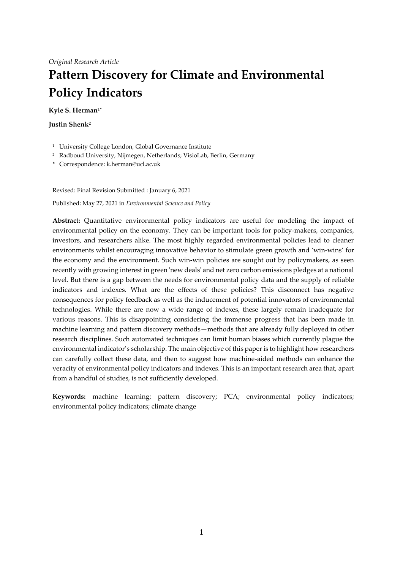# **Pattern Discovery for Climate and Environmental Policy Indicators**

# **Kyle S. Herman1\***

**Justin Shenk<sup>2</sup>**

- <sup>1</sup> University College London, Global Governance Institute
- <sup>2</sup> Radboud University, Nijmegen, Netherlands; VisioLab, Berlin, Germany
- **\*** Correspondence: k.herman@ucl.ac.uk

Revised: Final Revision Submitted : January 6, 2021

Published: May 27, 2021 in *Environmental Science and Policy*

**Abstract:** Quantitative environmental policy indicators are useful for modeling the impact of environmental policy on the economy. They can be important tools for policy-makers, companies, investors, and researchers alike. The most highly regarded environmental policies lead to cleaner environments whilst encouraging innovative behavior to stimulate green growth and 'win-wins' for the economy and the environment. Such win-win policies are sought out by policymakers, as seen recently with growing interest in green 'new deals' and net zero carbon emissions pledges at a national level. But there is a gap between the needs for environmental policy data and the supply of reliable indicators and indexes. What are the effects of these policies? This disconnect has negative consequences for policy feedback as well as the inducement of potential innovators of environmental technologies. While there are now a wide range of indexes, these largely remain inadequate for various reasons. This is disappointing considering the immense progress that has been made in machine learning and pattern discovery methods—methods that are already fully deployed in other research disciplines. Such automated techniques can limit human biases which currently plague the environmental indicator's scholarship. The main objective of this paper is to highlight how researchers can carefully collect these data, and then to suggest how machine-aided methods can enhance the veracity of environmental policy indicators and indexes. This is an important research area that, apart from a handful of studies, is not sufficiently developed.

**Keywords:** machine learning; pattern discovery; PCA; environmental policy indicators; environmental policy indicators; climate change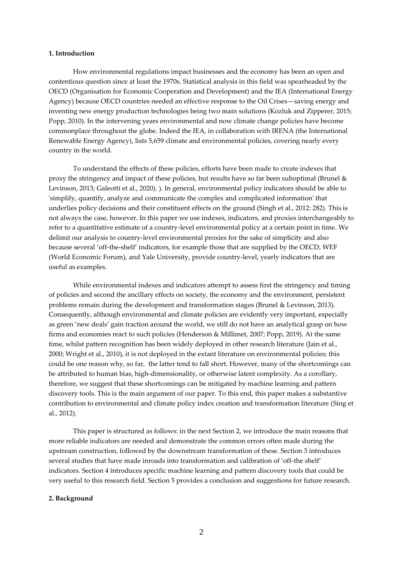# **1. Introduction**

How environmental regulations impact businesses and the economy has been an open and contentious question since at least the 1970s. Statistical analysis in this field was spearheaded by the OECD (Organisation for Economic Cooperation and Development) and the IEA (International Energy Agency) because OECD countries needed an effective response to the Oil Crises—saving energy and inventing new energy production technologies being two main solutions (Kozluk and Zipperer, 2015; Popp, 2010). In the intervening years environmental and now climate change policies have become commonplace throughout the globe. Indeed the IEA, in collaboration with IRENA (the International Renewable Energy Agency), lists 5,659 climate and environmental policies, covering nearly every country in the world.

To understand the effects of these policies, efforts have been made to create indexes that proxy the stringency and impact of these policies, but results have so far been suboptimal (Brunel & Levinson, 2013; Galeotti et al., 2020). ). In general, environmental policy indicators should be able to 'simplify, quantify, analyze and communicate the complex and complicated information' that underlies policy decisions and their constituent effects on the ground (Singh et al., 2012: 282). This is not always the case, however. In this paper we use indexes, indicators, and proxies interchangeably to refer to a quantitative estimate of a country-level environmental policy at a certain point in time. We delimit our analysis to country-level environmental proxies for the sake of simplicity and also because several 'off-the-shelf' indicators, for example those that are supplied by the OECD, WEF (World Economic Forum), and Yale University, provide country-level, yearly indicators that are useful as examples.

While environmental indexes and indicators attempt to assess first the stringency and timing of policies and second the ancillary effects on society, the economy and the environment, persistent problems remain during the development and transformation stages (Brunel & Levinson, 2013). Consequently, although environmental and climate policies are evidently very important, especially as green 'new deals' gain traction around the world, we still do not have an analytical grasp on how firms and economies react to such policies (Henderson & Millimet, 2007; Popp, 2019). At the same time, whilst pattern recognition has been widely deployed in other research literature (Jain et al., 2000; Wright et al., 2010), it is not deployed in the extant literature on environmental policies; this could be one reason why, so far, the latter tend to fall short. However, many of the shortcomings can be attributed to human bias, high-dimensionality, or otherwise latent complexity. As a corollary, therefore, we suggest that these shortcomings can be mitigated by machine learning and pattern discovery tools. This is the main argument of our paper. To this end, this paper makes a substantive contribution to environmental and climate policy index creation and transformation literature (Sing et al., 2012).

This paper is structured as follows: in the next Section 2, we introduce the main reasons that more reliable indicators are needed and demonstrate the common errors often made during the upstream construction, followed by the downstream transformation of these. Section 3 introduces several studies that have made inroads into transformation and calibration of 'off-the shelf' indicators. Section 4 introduces specific machine learning and pattern discovery tools that could be very useful to this research field. Section 5 provides a conclusion and suggestions for future research.

#### **2. Background**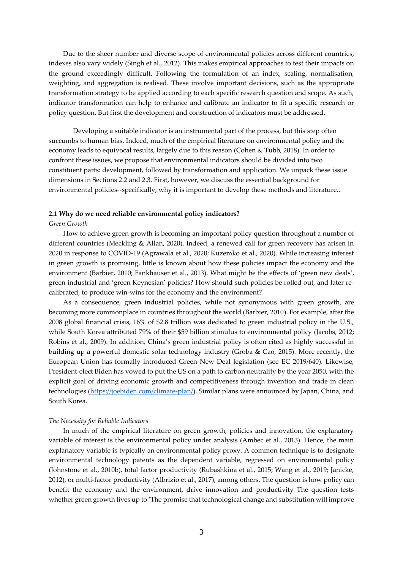Due to the sheer number and diverse scope of environmental policies across different countries, indexes also vary widely (Singh et al., 2012). This makes empirical approaches to test their impacts on the ground exceedingly difficult. Following the formulation of an index, scaling, normalisation, weighting, and aggregation is realised. These involve important decisions, such as the appropriate transformation strategy to be applied according to each specific research question and scope. As such, indicator transformation can help to enhance and calibrate an indicator to fit a specific research or policy question. But first the development and construction of indicators must be addressed.

Developing a suitable indicator is an instrumental part of the process, but this step often succumbs to human bias. Indeed, much of the empirical literature on environmental policy and the economy leads to equivocal results, largely due to this reason (Cohen & Tubb, 2018). In order to confront these issues, we propose that environmental indicators should be divided into two constituent parts: development, followed by transformation and application. We unpack these issue dimensions in Sections 2.2 and 2.3. First, however, we discuss the essential background for environmental policies--specifically, why it is important to develop these methods and literature..

## **2.1 Why do we need reliable environmental policy indicators?**

#### *Green Growth*

How to achieve green growth is becoming an important policy question throughout a number of different countries (Meckling & Allan, 2020). Indeed, a renewed call for green recovery has arisen in 2020 in response to COVID-19 (Agrawala et al., 2020; Kuzemko et al., 2020). While increasing interest in green growth is promising, little is known about how these policies impact the economy and the environment (Barbier, 2010; Fankhauser et al., 2013). What might be the effects of 'green new deals', green industrial and 'green Keynesian' policies? How should such policies be rolled out, and later recalibrated, to produce win-wins for the economy and the environment?

As a consequence, green industrial policies, while not synonymous with green growth, are becoming more commonplace in countries throughout the world (Barbier, 2010). For example, after the 2008 global financial crisis, 16% of \$2.8 trillion was dedicated to green industrial policy in the U.S., while South Korea attributed 79% of their \$59 billion stimulus to environmental policy (Jacobs, 2012; Robins et al., 2009). In addition, China's green industrial policy is often cited as highly successful in building up a powerful domestic solar technology industry (Groba & Cao, 2015). More recently, the European Union has formally introduced Green New Deal legislation (see EC 2019/640). Likewise, President-elect Biden has vowed to put the US on a path to carbon neutrality by the year 2050, with the explicit goal of driving economic growth and competitiveness through invention and trade in clean technologies [\(https://joebiden.com/climate-plan/\)](https://joebiden.com/climate-plan/). Similar plans were announced by Japan, China, and South Korea.

#### *The Necessity for Reliable Indicators*

In much of the empirical literature on green growth, policies and innovation, the explanatory variable of interest is the environmental policy under analysis (Ambec et al., 2013). Hence, the main explanatory variable is typically an environmental policy proxy. A common technique is to designate environmental technology patents as the dependent variable, regressed on environmental policy (Johnstone et al., 2010b), total factor productivity (Rubashkina et al., 2015; Wang et al., 2019; Janicke, 2012), or multi-factor productivity (Albrizio et al., 2017), among others. The question is how policy can benefit the economy and the environment, drive innovation and productivity The question tests whether green growth lives up to 'The promise that technological change and substitution will improve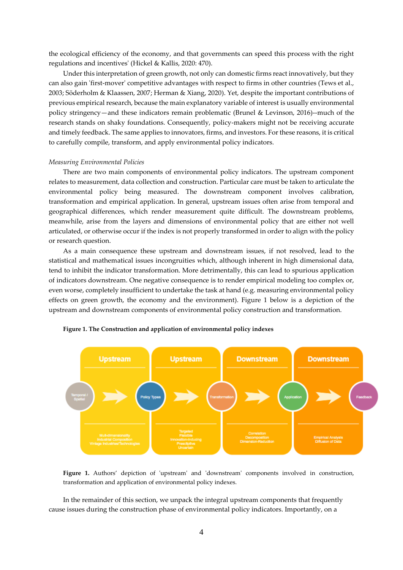the ecological efficiency of the economy, and that governments can speed this process with the right regulations and incentives' (Hickel & Kallis, 2020: 470).

Under this interpretation of green growth, not only can domestic firms react innovatively, but they can also gain 'first-mover' competitive advantages with respect to firms in other countries (Tews et al., 2003; Söderholm & Klaassen, 2007; Herman & Xiang, 2020). Yet, despite the important contributions of previous empirical research, because the main explanatory variable of interest is usually environmental policy stringency—and these indicators remain problematic (Brunel & Levinson, 2016)--much of the research stands on shaky foundations. Consequently, policy-makers might not be receiving accurate and timely feedback. The same applies to innovators, firms, and investors. For these reasons, it is critical to carefully compile, transform, and apply environmental policy indicators.

#### *Measuring Environmental Policies*

There are two main components of environmental policy indicators. The upstream component relates to measurement, data collection and construction. Particular care must be taken to articulate the environmental policy being measured. The downstream component involves calibration, transformation and empirical application. In general, upstream issues often arise from temporal and geographical differences, which render measurement quite difficult. The downstream problems, meanwhile, arise from the layers and dimensions of environmental policy that are either not well articulated, or otherwise occur if the index is not properly transformed in order to align with the policy or research question.

As a main consequence these upstream and downstream issues, if not resolved, lead to the statistical and mathematical issues incongruities which, although inherent in high dimensional data, tend to inhibit the indicator transformation. More detrimentally, this can lead to spurious application of indicators downstream. One negative consequence is to render empirical modeling too complex or, even worse, completely insufficient to undertake the task at hand (e.g. measuring environmental policy effects on green growth, the economy and the environment). Figure 1 below is a depiction of the upstream and downstream components of environmental policy construction and transformation.





**Figure 1.** Authors' depiction of 'upstream' and 'downstream' components involved in construction, transformation and application of environmental policy indexes.

In the remainder of this section, we unpack the integral upstream components that frequently cause issues during the construction phase of environmental policy indicators. Importantly, on a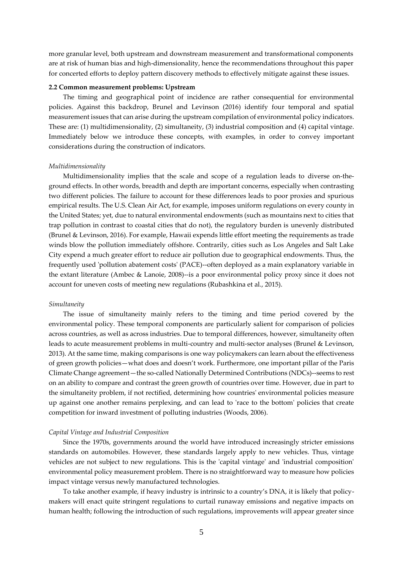more granular level, both upstream and downstream measurement and transformational components are at risk of human bias and high-dimensionality, hence the recommendations throughout this paper for concerted efforts to deploy pattern discovery methods to effectively mitigate against these issues.

#### **2.2 Common measurement problems: Upstream**

The timing and geographical point of incidence are rather consequential for environmental policies. Against this backdrop, Brunel and Levinson (2016) identify four temporal and spatial measurement issues that can arise during the upstream compilation of environmental policy indicators. These are: (1) multidimensionality, (2) simultaneity, (3) industrial composition and (4) capital vintage. Immediately below we introduce these concepts, with examples, in order to convey important considerations during the construction of indicators.

#### *Multidimensionality*

Multidimensionality implies that the scale and scope of a regulation leads to diverse on-theground effects. In other words, breadth and depth are important concerns, especially when contrasting two different policies. The failure to account for these differences leads to poor proxies and spurious empirical results. The U.S. Clean Air Act, for example, imposes uniform regulations on every county in the United States; yet, due to natural environmental endowments (such as mountains next to cities that trap pollution in contrast to coastal cities that do not), the regulatory burden is unevenly distributed (Brunel & Levinson, 2016). For example, Hawaii expends little effort meeting the requirements as trade winds blow the pollution immediately offshore. Contrarily, cities such as Los Angeles and Salt Lake City expend a much greater effort to reduce air pollution due to geographical endowments. Thus, the frequently used 'pollution abatement costs' (PACE)--often deployed as a main explanatory variable in the extant literature (Ambec & Lanoie, 2008)--is a poor environmental policy proxy since it does not account for uneven costs of meeting new regulations (Rubashkina et al., 2015).

#### *Simultaneity*

The issue of simultaneity mainly refers to the timing and time period covered by the environmental policy. These temporal components are particularly salient for comparison of policies across countries, as well as across industries. Due to temporal differences, however, simultaneity often leads to acute measurement problems in multi-country and multi-sector analyses (Brunel & Levinson, 2013). At the same time, making comparisons is one way policymakers can learn about the effectiveness of green growth policies—what does and doesn't work. Furthermore, one important pillar of the Paris Climate Change agreement—the so-called Nationally Determined Contributions (NDCs)--seems to rest on an ability to compare and contrast the green growth of countries over time. However, due in part to the simultaneity problem, if not rectified, determining how countries' environmental policies measure up against one another remains perplexing, and can lead to 'race to the bottom' policies that create competition for inward investment of polluting industries (Woods, 2006).

#### *Capital Vintage and Industrial Composition*

Since the 1970s, governments around the world have introduced increasingly stricter emissions standards on automobiles. However, these standards largely apply to new vehicles. Thus, vintage vehicles are not subject to new regulations. This is the 'capital vintage' and 'industrial composition' environmental policy measurement problem. There is no straightforward way to measure how policies impact vintage versus newly manufactured technologies.

To take another example, if heavy industry is intrinsic to a country's DNA, it is likely that policymakers will enact quite stringent regulations to curtail runaway emissions and negative impacts on human health; following the introduction of such regulations, improvements will appear greater since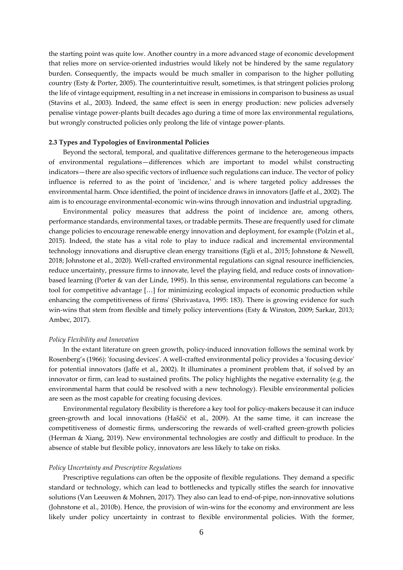the starting point was quite low. Another country in a more advanced stage of economic development that relies more on service-oriented industries would likely not be hindered by the same regulatory burden. Consequently, the impacts would be much smaller in comparison to the higher polluting country (Esty & Porter, 2005). The counterintuitive result, sometimes, is that stringent policies prolong the life of vintage equipment, resulting in a net increase in emissions in comparison to business as usual (Stavins et al., 2003). Indeed, the same effect is seen in energy production: new policies adversely penalise vintage power-plants built decades ago during a time of more lax environmental regulations, but wrongly constructed policies only prolong the life of vintage power-plants.

#### **2.3 Types and Typologies of Environmental Policies**

Beyond the sectoral, temporal, and qualitative differences germane to the heterogeneous impacts of environmental regulations—differences which are important to model whilst constructing indicators—there are also specific vectors of influence such regulations can induce. The vector of policy influence is referred to as the point of 'incidence,' and is where targeted policy addresses the environmental harm. Once identified, the point of incidence draws in innovators (Jaffe et al., 2002). The aim is to encourage environmental-economic win-wins through innovation and industrial upgrading.

Environmental policy measures that address the point of incidence are, among others, performance standards, environmental taxes, or tradable permits. These are frequently used for climate change policies to encourage renewable energy innovation and deployment, for example (Polzin et al., 2015). Indeed, the state has a vital role to play to induce radical and incremental environmental technology innovations and disruptive clean energy transitions (Egli et al., 2015; Johnstone & Newell, 2018; Johnstone et al., 2020). Well-crafted environmental regulations can signal resource inefficiencies, reduce uncertainty, pressure firms to innovate, level the playing field, and reduce costs of innovationbased learning (Porter & van der Linde, 1995). In this sense, environmental regulations can become 'a tool for competitive advantage […] for minimizing ecological impacts of economic production while enhancing the competitiveness of firms' (Shrivastava, 1995: 183). There is growing evidence for such win-wins that stem from flexible and timely policy interventions (Esty & Winston, 2009; Sarkar, 2013; Ambec, 2017).

#### *Policy Flexibility and Innovation*

In the extant literature on green growth, policy-induced innovation follows the seminal work by Rosenberg's (1966): 'focusing devices'. A well-crafted environmental policy provides a 'focusing device' for potential innovators (Jaffe et al., 2002). It illuminates a prominent problem that, if solved by an innovator or firm, can lead to sustained profits. The policy highlights the negative externality (e.g. the environmental harm that could be resolved with a new technology). Flexible environmental policies are seen as the most capable for creating focusing devices.

Environmental regulatory flexibility is therefore a key tool for policy-makers because it can induce green-growth and local innovations (Haščič et al., 2009). At the same time, it can increase the competitiveness of domestic firms, underscoring the rewards of well-crafted green-growth policies (Herman & Xiang, 2019). New environmental technologies are costly and difficult to produce. In the absence of stable but flexible policy, innovators are less likely to take on risks.

#### *Policy Uncertainty and Prescriptive Regulations*

Prescriptive regulations can often be the opposite of flexible regulations. They demand a specific standard or technology, which can lead to bottlenecks and typically stifles the search for innovative solutions (Van Leeuwen & Mohnen, 2017). They also can lead to end-of-pipe, non-innovative solutions (Johnstone et al., 2010b). Hence, the provision of win-wins for the economy and environment are less likely under policy uncertainty in contrast to flexible environmental policies. With the former,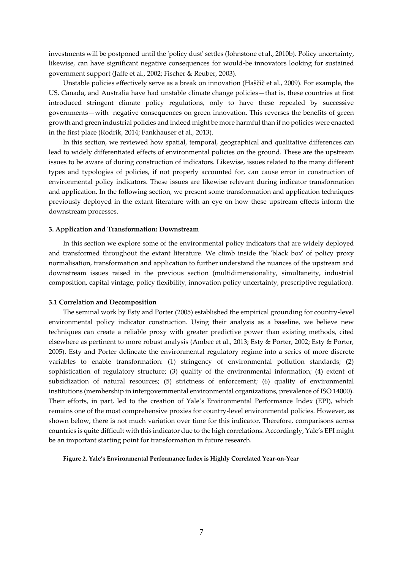investments will be postponed until the 'policy dust' settles (Johnstone et al., 2010b). Policy uncertainty, likewise, can have significant negative consequences for would-be innovators looking for sustained government support (Jaffe et al., 2002; Fischer & Reuber, 2003).

Unstable policies effectively serve as a break on innovation (Haščič et al., 2009). For example, the US, Canada, and Australia have had unstable climate change policies—that is, these countries at first introduced stringent climate policy regulations, only to have these repealed by successive governments—with negative consequences on green innovation. This reverses the benefits of green growth and green industrial policies and indeed might be more harmful than if no policies were enacted in the first place (Rodrik, 2014; Fankhauser et al., 2013).

In this section, we reviewed how spatial, temporal, geographical and qualitative differences can lead to widely differentiated effects of environmental policies on the ground. These are the upstream issues to be aware of during construction of indicators. Likewise, issues related to the many different types and typologies of policies, if not properly accounted for, can cause error in construction of environmental policy indicators. These issues are likewise relevant during indicator transformation and application. In the following section, we present some transformation and application techniques previously deployed in the extant literature with an eye on how these upstream effects inform the downstream processes.

#### **3. Application and Transformation: Downstream**

In this section we explore some of the environmental policy indicators that are widely deployed and transformed throughout the extant literature. We climb inside the 'black box' of policy proxy normalisation, transformation and application to further understand the nuances of the upstream and downstream issues raised in the previous section (multidimensionality, simultaneity, industrial composition, capital vintage, policy flexibility, innovation policy uncertainty, prescriptive regulation).

#### **3.1 Correlation and Decomposition**

The seminal work by Esty and Porter (2005) established the empirical grounding for country-level environmental policy indicator construction. Using their analysis as a baseline, we believe new techniques can create a reliable proxy with greater predictive power than existing methods, cited elsewhere as pertinent to more robust analysis (Ambec et al., 2013; Esty & Porter, 2002; Esty & Porter, 2005). Esty and Porter delineate the environmental regulatory regime into a series of more discrete variables to enable transformation: (1) stringency of environmental pollution standards; (2) sophistication of regulatory structure; (3) quality of the environmental information; (4) extent of subsidization of natural resources; (5) strictness of enforcement; (6) quality of environmental institutions (membership in intergovernmental environmental organizations, prevalence of ISO 14000). Their efforts, in part, led to the creation of Yale's Environmental Performance Index (EPI), which remains one of the most comprehensive proxies for country-level environmental policies. However, as shown below, there is not much variation over time for this indicator. Therefore, comparisons across countries is quite difficult with this indicator due to the high correlations. Accordingly, Yale's EPI might be an important starting point for transformation in future research.

**Figure 2. Yale's Environmental Performance Index is Highly Correlated Year-on-Year**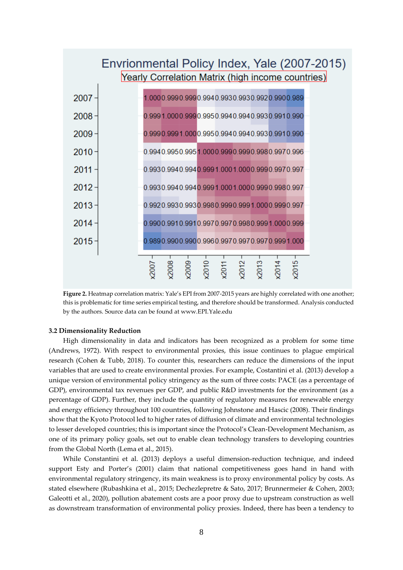

**Figure 2.** Heatmap correlation matrix: Yale's EPI from 2007-2015 years are highly correlated with one another; this is problematic for time series empirical testing, and therefore should be transformed. Analysis conducted by the authors. Source data can be found at www.EPI.Yale.edu

# **3.2 Dimensionality Reduction**

High dimensionality in data and indicators has been recognized as a problem for some time (Andrews, 1972). With respect to environmental proxies, this issue continues to plague empirical research (Cohen & Tubb, 2018). To counter this, researchers can reduce the dimensions of the input variables that are used to create environmental proxies. For example, Costantini et al. (2013) develop a unique version of environmental policy stringency as the sum of three costs: PACE (as a percentage of GDP), environmental tax revenues per GDP, and public R&D investments for the environment (as a percentage of GDP). Further, they include the quantity of regulatory measures for renewable energy and energy efficiency throughout 100 countries, following Johnstone and Hascic (2008). Their findings show that the Kyoto Protocol led to higher rates of diffusion of climate and environmental technologies to lesser developed countries; this is important since the Protocol's Clean-Development Mechanism, as one of its primary policy goals, set out to enable clean technology transfers to developing countries from the Global North (Lema et al., 2015).

While Constantini et al. (2013) deploys a useful dimension-reduction technique, and indeed support Esty and Porter's (2001) claim that national competitiveness goes hand in hand with environmental regulatory stringency, its main weakness is to proxy environmental policy by costs. As stated elsewhere (Rubashkina et al., 2015; Dechezlepretre & Sato, 2017; Brunnermeier & Cohen, 2003; Galeotti et al., 2020), pollution abatement costs are a poor proxy due to upstream construction as well as downstream transformation of environmental policy proxies. Indeed, there has been a tendency to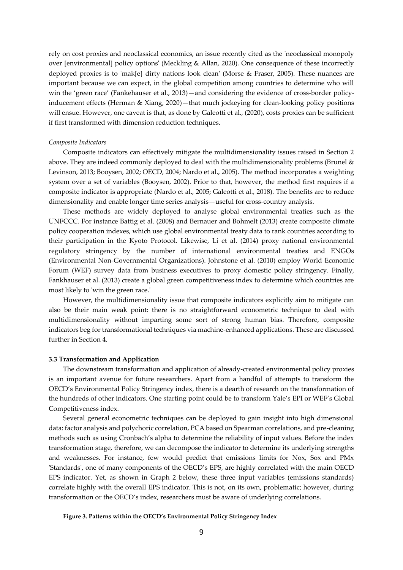rely on cost proxies and neoclassical economics, an issue recently cited as the 'neoclassical monopoly over [environmental] policy options' (Meckling & Allan, 2020). One consequence of these incorrectly deployed proxies is to 'mak[e] dirty nations look clean' (Morse & Fraser, 2005). These nuances are important because we can expect, in the global competition among countries to determine who will win the 'green race' (Fankehauser et al., 2013)—and considering the evidence of cross-border policyinducement effects (Herman & Xiang, 2020)—that much jockeying for clean-looking policy positions will ensue. However, one caveat is that, as done by Galeotti et al., (2020), costs proxies can be sufficient if first transformed with dimension reduction techniques.

#### *Composite Indicators*

Composite indicators can effectively mitigate the multidimensionality issues raised in Section 2 above. They are indeed commonly deployed to deal with the multidimensionality problems (Brunel & Levinson, 2013; Booysen, 2002; OECD, 2004; Nardo et al., 2005). The method incorporates a weighting system over a set of variables (Booysen, 2002). Prior to that, however, the method first requires if a composite indicator is appropriate (Nardo et al., 2005; Galeotti et al., 2018). The benefits are to reduce dimensionality and enable longer time series analysis—useful for cross-country analysis.

These methods are widely deployed to analyse global environmental treaties such as the UNFCCC. For instance Battig et al. (2008) and Bernauer and Bohmelt (2013) create composite climate policy cooperation indexes, which use global environmental treaty data to rank countries according to their participation in the Kyoto Protocol. Likewise, Li et al. (2014) proxy national environmental regulatory stringency by the number of international environmental treaties and ENGOs (Environmental Non-Governmental Organizations). Johnstone et al. (2010) employ World Economic Forum (WEF) survey data from business executives to proxy domestic policy stringency. Finally, Fankhauser et al. (2013) create a global green competitiveness index to determine which countries are most likely to 'win the green race.'

However, the multidimensionality issue that composite indicators explicitly aim to mitigate can also be their main weak point: there is no straightforward econometric technique to deal with multidimensionality without imparting some sort of strong human bias. Therefore, composite indicators beg for transformational techniques via machine-enhanced applications. These are discussed further in Section 4.

# **3.3 Transformation and Application**

The downstream transformation and application of already-created environmental policy proxies is an important avenue for future researchers. Apart from a handful of attempts to transform the OECD's Environmental Policy Stringency index, there is a dearth of research on the transformation of the hundreds of other indicators. One starting point could be to transform Yale's EPI or WEF's Global Competitiveness index.

Several general econometric techniques can be deployed to gain insight into high dimensional data: factor analysis and polychoric correlation, PCA based on Spearman correlations, and pre-cleaning methods such as using Cronbach's alpha to determine the reliability of input values. Before the index transformation stage, therefore, we can decompose the indicator to determine its underlying strengths and weaknesses. For instance, few would predict that emissions limits for Nox, Sox and PMx 'Standards', one of many components of the OECD's EPS, are highly correlated with the main OECD EPS indicator. Yet, as shown in Graph 2 below, these three input variables (emissions standards) correlate highly with the overall EPS indicator. This is not, on its own, problematic; however, during transformation or the OECD's index, researchers must be aware of underlying correlations.

#### **Figure 3. Patterns within the OECD's Environmental Policy Stringency Index**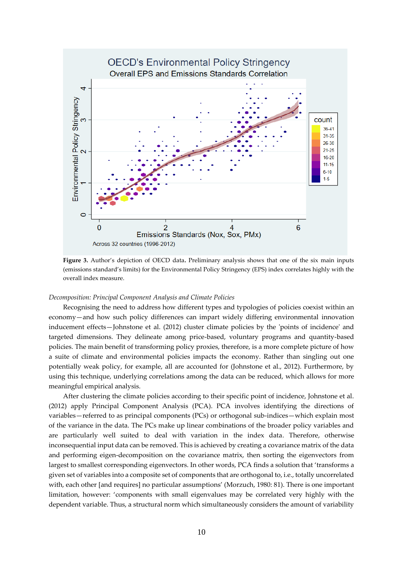

**Figure 3.** Author's depiction of OECD data**.** Preliminary analysis shows that one of the six main inputs (emissions standard's limits) for the Environmental Policy Stringency (EPS) index correlates highly with the overall index measure.

#### *Decomposition: Principal Component Analysis and Climate Policies*

Recognising the need to address how different types and typologies of policies coexist within an economy—and how such policy differences can impart widely differing environmental innovation inducement effects—Johnstone et al. (2012) cluster climate policies by the 'points of incidence' and targeted dimensions. They delineate among price-based, voluntary programs and quantity-based policies. The main benefit of transforming policy proxies, therefore, is a more complete picture of how a suite of climate and environmental policies impacts the economy. Rather than singling out one potentially weak policy, for example, all are accounted for (Johnstone et al., 2012). Furthermore, by using this technique, underlying correlations among the data can be reduced, which allows for more meaningful empirical analysis.

After clustering the climate policies according to their specific point of incidence, Johnstone et al. (2012) apply Principal Component Analysis (PCA). PCA involves identifying the directions of variables—referred to as principal components (PCs) or orthogonal sub-indices—which explain most of the variance in the data. The PCs make up linear combinations of the broader policy variables and are particularly well suited to deal with variation in the index data. Therefore, otherwise inconsequential input data can be removed. This is achieved by creating a covariance matrix of the data and performing eigen-decomposition on the covariance matrix, then sorting the eigenvectors from largest to smallest corresponding eigenvectors. In other words, PCA finds a solution that 'transforms a given set of variables into a composite set of components that are orthogonal to, i.e., totally uncorrelated with, each other [and requires] no particular assumptions' (Morzuch, 1980: 81). There is one important limitation, however: 'components with small eigenvalues may be correlated very highly with the dependent variable. Thus, a structural norm which simultaneously considers the amount of variability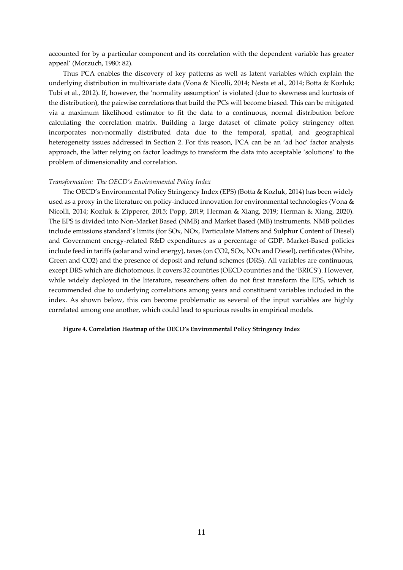accounted for by a particular component and its correlation with the dependent variable has greater appeal' (Morzuch, 1980: 82).

Thus PCA enables the discovery of key patterns as well as latent variables which explain the underlying distribution in multivariate data (Vona & Nicolli, 2014; Nesta et al., 2014; Botta & Kozluk; Tubi et al., 2012). If, however, the 'normality assumption' is violated (due to skewness and kurtosis of the distribution), the pairwise correlations that build the PCs will become biased. This can be mitigated via a maximum likelihood estimator to fit the data to a continuous, normal distribution before calculating the correlation matrix. Building a large dataset of climate policy stringency often incorporates non-normally distributed data due to the temporal, spatial, and geographical heterogeneity issues addressed in Section 2. For this reason, PCA can be an 'ad hoc' factor analysis approach, the latter relying on factor loadings to transform the data into acceptable 'solutions' to the problem of dimensionality and correlation.

## *Transformation: The OECD's Environmental Policy Index*

The OECD's Environmental Policy Stringency Index (EPS) (Botta & Kozluk, 2014) has been widely used as a proxy in the literature on policy-induced innovation for environmental technologies (Vona & Nicolli, 2014; Kozluk & Zipperer, 2015; Popp, 2019; Herman & Xiang, 2019; Herman & Xiang, 2020). The EPS is divided into Non-Market Based (NMB) and Market Based (MB) instruments. NMB policies include emissions standard's limits (for SOx, NOx, Particulate Matters and Sulphur Content of Diesel) and Government energy-related R&D expenditures as a percentage of GDP. Market-Based policies include feed in tariffs (solar and wind energy), taxes (on CO2, SOx, NOx and Diesel), certificates (White, Green and CO2) and the presence of deposit and refund schemes (DRS). All variables are continuous, except DRS which are dichotomous. It covers 32 countries (OECD countries and the 'BRICS'). However, while widely deployed in the literature, researchers often do not first transform the EPS, which is recommended due to underlying correlations among years and constituent variables included in the index. As shown below, this can become problematic as several of the input variables are highly correlated among one another, which could lead to spurious results in empirical models.

# **Figure 4. Correlation Heatmap of the OECD's Environmental Policy Stringency Index**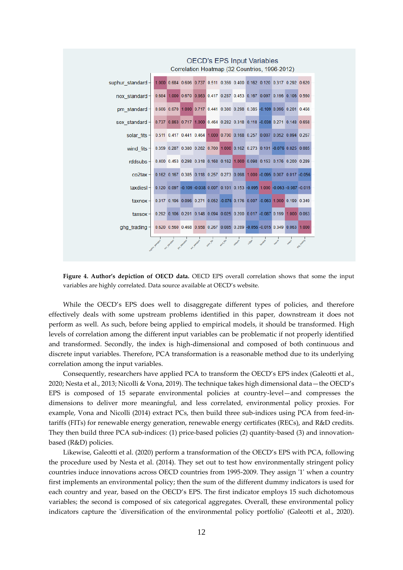

# **OECD's EPS Input Variables**

Figure 4. Author's depiction of OECD data. OECD EPS overall correlation shows that some the input variables are highly correlated. Data source available at OECD's website.

While the OECD's EPS does well to disaggregate different types of policies, and therefore effectively deals with some upstream problems identified in this paper, downstream it does not perform as well. As such, before being applied to empirical models, it should be transformed. High levels of correlation among the different input variables can be problematic if not properly identified and transformed. Secondly, the index is high-dimensional and composed of both continuous and discrete input variables. Therefore, PCA transformation is a reasonable method due to its underlying correlation among the input variables.

Consequently, researchers have applied PCA to transform the OECD's EPS index (Galeotti et al., 2020; Nesta et al., 2013; Nicolli & Vona, 2019). The technique takes high dimensional data—the OECD's EPS is composed of 15 separate environmental policies at country-level—and compresses the dimensions to deliver more meaningful, and less correlated, environmental policy proxies. For example, Vona and Nicolli (2014) extract PCs, then build three sub-indices using PCA from feed-intariffs (FITs) for renewable energy generation, renewable energy certificates (RECs), and R&D credits. They then build three PCA sub-indices: (1) price-based policies (2) quantity-based (3) and innovationbased (R&D) policies.

Likewise, Galeotti et al. (2020) perform a transformation of the OECD's EPS with PCA, following the procedure used by Nesta et al. (2014). They set out to test how environmentally stringent policy countries induce innovations across OECD countries from 1995-2009. They assign '1' when a country first implements an environmental policy; then the sum of the different dummy indicators is used for each country and year, based on the OECD's EPS. The first indicator employs 15 such dichotomous variables; the second is composed of six categorical aggregates. Overall, these environmental policy indicators capture the 'diversification of the environmental policy portfolio' (Galeotti et al., 2020).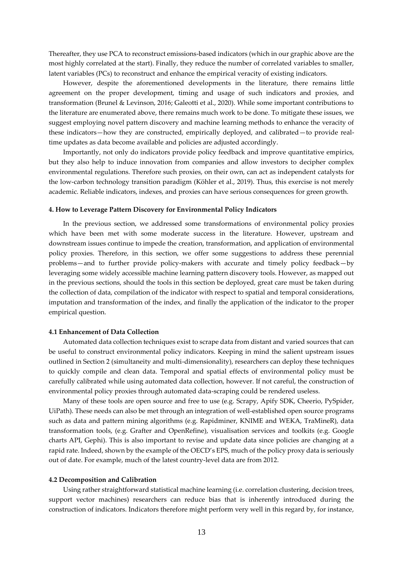Thereafter, they use PCA to reconstruct emissions-based indicators (which in our graphic above are the most highly correlated at the start). Finally, they reduce the number of correlated variables to smaller, latent variables (PCs) to reconstruct and enhance the empirical veracity of existing indicators.

However, despite the aforementioned developments in the literature, there remains little agreement on the proper development, timing and usage of such indicators and proxies, and transformation (Brunel & Levinson, 2016; Galeotti et al., 2020). While some important contributions to the literature are enumerated above, there remains much work to be done. To mitigate these issues, we suggest employing novel pattern discovery and machine learning methods to enhance the veracity of these indicators—how they are constructed, empirically deployed, and calibrated—to provide realtime updates as data become available and policies are adjusted accordingly.

Importantly, not only do indicators provide policy feedback and improve quantitative empirics, but they also help to induce innovation from companies and allow investors to decipher complex environmental regulations. Therefore such proxies, on their own, can act as independent catalysts for the low-carbon technology transition paradigm (Köhler et al., 2019). Thus, this exercise is not merely academic. Reliable indicators, indexes, and proxies can have serious consequences for green growth.

#### **4. How to Leverage Pattern Discovery for Environmental Policy Indicators**

In the previous section, we addressed some transformations of environmental policy proxies which have been met with some moderate success in the literature. However, upstream and downstream issues continue to impede the creation, transformation, and application of environmental policy proxies. Therefore, in this section, we offer some suggestions to address these perennial problems—and to further provide policy-makers with accurate and timely policy feedback—by leveraging some widely accessible machine learning pattern discovery tools. However, as mapped out in the previous sections, should the tools in this section be deployed, great care must be taken during the collection of data, compilation of the indicator with respect to spatial and temporal considerations, imputation and transformation of the index, and finally the application of the indicator to the proper empirical question.

#### **4.1 Enhancement of Data Collection**

Automated data collection techniques exist to scrape data from distant and varied sources that can be useful to construct environmental policy indicators. Keeping in mind the salient upstream issues outlined in Section 2 (simultaneity and multi-dimensionality), researchers can deploy these techniques to quickly compile and clean data. Temporal and spatial effects of environmental policy must be carefully calibrated while using automated data collection, however. If not careful, the construction of environmental policy proxies through automated data-scraping could be rendered useless.

Many of these tools are open source and free to use (e.g. Scrapy, Apify SDK, Cheerio, PySpider, UiPath). These needs can also be met through an integration of well-established open source programs such as data and pattern mining algorithms (e.g. Rapidminer, KNIME and WEKA, TraMineR), data transformation tools, (e.g. Grafter and OpenRefine), visualisation services and toolkits (e.g. Google charts API, Gephi). This is also important to revise and update data since policies are changing at a rapid rate. Indeed, shown by the example of the OECD's EPS, much of the policy proxy data is seriously out of date. For example, much of the latest country-level data are from 2012.

#### **4.2 Decomposition and Calibration**

Using rather straightforward statistical machine learning (i.e. correlation clustering, decision trees, support vector machines) researchers can reduce bias that is inherently introduced during the construction of indicators. Indicators therefore might perform very well in this regard by, for instance,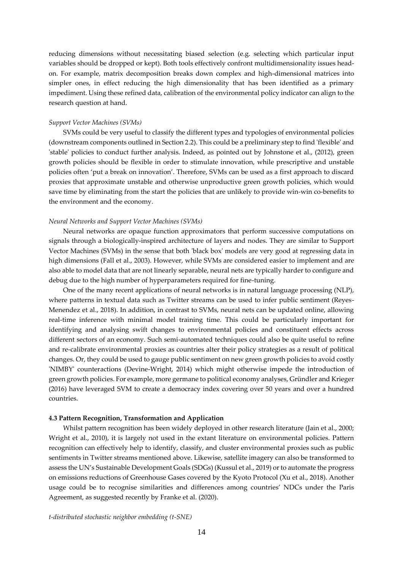reducing dimensions without necessitating biased selection (e.g. selecting which particular input variables should be dropped or kept). Both tools effectively confront multidimensionality issues headon. For example, matrix decomposition breaks down complex and high-dimensional matrices into simpler ones, in effect reducing the high dimensionality that has been identified as a primary impediment. Using these refined data, calibration of the environmental policy indicator can align to the research question at hand.

#### *Support Vector Machines (SVMs)*

SVMs could be very useful to classify the different types and typologies of environmental policies (downstream components outlined in Section 2.2). This could be a preliminary step to find 'flexible' and 'stable' policies to conduct further analysis. Indeed, as pointed out by Johnstone et al., (2012), green growth policies should be flexible in order to stimulate innovation, while prescriptive and unstable policies often 'put a break on innovation'. Therefore, SVMs can be used as a first approach to discard proxies that approximate unstable and otherwise unproductive green growth policies, which would save time by eliminating from the start the policies that are unlikely to provide win-win co-benefits to the environment and the economy.

# *Neural Networks and Support Vector Machines (SVMs)*

Neural networks are opaque function approximators that perform successive computations on signals through a biologically-inspired architecture of layers and nodes. They are similar to Support Vector Machines (SVMs) in the sense that both 'black box' models are very good at regressing data in high dimensions (Fall et al., 2003). However, while SVMs are considered easier to implement and are also able to model data that are not linearly separable, neural nets are typically harder to configure and debug due to the high number of hyperparameters required for fine-tuning.

One of the many recent applications of neural networks is in natural language processing (NLP), where patterns in textual data such as Twitter streams can be used to infer public sentiment (Reyes-Menendez et al., 2018). In addition, in contrast to SVMs, neural nets can be updated online, allowing real-time inference with minimal model training time. This could be particularly important for identifying and analysing swift changes to environmental policies and constituent effects across different sectors of an economy. Such semi-automated techniques could also be quite useful to refine and re-calibrate environmental proxies as countries alter their policy strategies as a result of political changes. Or, they could be used to gauge public sentiment on new green growth policies to avoid costly 'NIMBY' counteractions (Devine-Wright, 2014) which might otherwise impede the introduction of green growth policies. For example, more germane to political economy analyses, Gründler and Krieger (2016) have leveraged SVM to create a democracy index covering over 50 years and over a hundred countries.

# **4.3 Pattern Recognition, Transformation and Application**

Whilst pattern recognition has been widely deployed in other research literature (Jain et al., 2000; Wright et al., 2010), it is largely not used in the extant literature on environmental policies. Pattern recognition can effectively help to identify, classify, and cluster environmental proxies such as public sentiments in Twitter streams mentioned above. Likewise, satellite imagery can also be transformed to assess the UN's Sustainable Development Goals (SDGs) (Kussul et al., 2019) or to automate the progress on emissions reductions of Greenhouse Gases covered by the Kyoto Protocol (Xu et al., 2018). Another usage could be to recognise similarities and differences among countries' NDCs under the Paris Agreement, as suggested recently by Franke et al. (2020).

*t-distributed stochastic neighbor embedding (t-SNE)*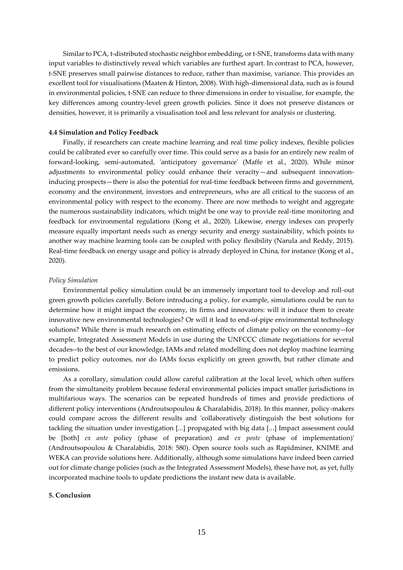Similar to PCA, t-distributed stochastic neighbor embedding, or t-SNE, transforms data with many input variables to distinctively reveal which variables are furthest apart. In contrast to PCA, however, t-SNE preserves small pairwise distances to reduce, rather than maximise, variance. This provides an excellent tool for visualisations (Maaten & Hinton, 2008). With high-dimensional data, such as is found in environmental policies, t-SNE can reduce to three dimensions in order to visualise, for example, the key differences among country-level green growth policies. Since it does not preserve distances or densities, however, it is primarily a visualisation tool and less relevant for analysis or clustering.

#### **4.4 Simulation and Policy Feedback**

Finally, if researchers can create machine learning and real time policy indexes, flexible policies could be calibrated ever so carefully over time. This could serve as a basis for an entirely new realm of forward-looking, semi-automated, 'anticipatory governance' (Maffe et al., 2020). While minor adjustments to environmental policy could enhance their veracity—and subsequent innovationinducing prospects—there is also the potential for real-time feedback between firms and government, economy and the environment, investors and entrepreneurs, who are all critical to the success of an environmental policy with respect to the economy. There are now methods to weight and aggregate the numerous sustainability indicators, which might be one way to provide real-time monitoring and feedback for environmental regulations (Kong et al., 2020). Likewise, energy indexes can properly measure equally important needs such as energy security and energy sustainability, which points to another way machine learning tools can be coupled with policy flexibility (Narula and Reddy, 2015). Real-time feedback on energy usage and policy is already deployed in China, for instance (Kong et al., 2020).

#### *Policy Simulation*

Environmental policy simulation could be an immensely important tool to develop and roll-out green growth policies carefully. Before introducing a policy, for example, simulations could be run to determine how it might impact the economy, its firms and innovators: will it induce them to create innovative new environmental technologies? Or will it lead to end-of-pipe environmental technology solutions? While there is much research on estimating effects of climate policy on the economy--for example, Integrated Assessment Models in use during the UNFCCC climate negotiations for several decades--to the best of our knowledge, IAMs and related modelling does not deploy machine learning to predict policy outcomes, nor do IAMs focus explicitly on green growth, but rather climate and emissions.

As a corollary, simulation could allow careful calibration at the local level, which often suffers from the simultaneity problem because federal environmental policies impact smaller jurisdictions in multifarious ways. The scenarios can be repeated hundreds of times and provide predictions of different policy interventions (Androutsopoulou & Charalabidis, 2018). In this manner, policy-makers could compare across the different results and 'collaboratively distinguish the best solutions for tackling the situation under investigation [...] propagated with big data [...] Impact assessment could be [both] *ex ante* policy (phase of preparation) and *ex poste* (phase of implementation)' (Androutsopoulou & Charalabidis, 2018: 580). Open source tools such as Rapidminer, KNIME and WEKA can provide solutions here. Additionally, although some simulations have indeed been carried out for climate change policies (such as the Integrated Assessment Models), these have not, as yet, fully incorporated machine tools to update predictions the instant new data is available.

#### **5. Conclusion**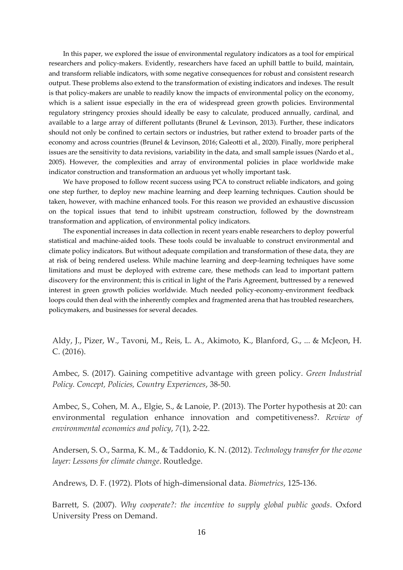In this paper, we explored the issue of environmental regulatory indicators as a tool for empirical researchers and policy-makers. Evidently, researchers have faced an uphill battle to build, maintain, and transform reliable indicators, with some negative consequences for robust and consistent research output. These problems also extend to the transformation of existing indicators and indexes. The result is that policy-makers are unable to readily know the impacts of environmental policy on the economy, which is a salient issue especially in the era of widespread green growth policies. Environmental regulatory stringency proxies should ideally be easy to calculate, produced annually, cardinal, and available to a large array of different pollutants (Brunel & Levinson, 2013). Further, these indicators should not only be confined to certain sectors or industries, but rather extend to broader parts of the economy and across countries (Brunel & Levinson, 2016; Galeotti et al., 2020). Finally, more peripheral issues are the sensitivity to data revisions, variability in the data, and small sample issues (Nardo et al., 2005). However, the complexities and array of environmental policies in place worldwide make indicator construction and transformation an arduous yet wholly important task.

We have proposed to follow recent success using PCA to construct reliable indicators, and going one step further, to deploy new machine learning and deep learning techniques. Caution should be taken, however, with machine enhanced tools. For this reason we provided an exhaustive discussion on the topical issues that tend to inhibit upstream construction, followed by the downstream transformation and application, of environmental policy indicators.

The exponential increases in data collection in recent years enable researchers to deploy powerful statistical and machine-aided tools. These tools could be invaluable to construct environmental and climate policy indicators. But without adequate compilation and transformation of these data, they are at risk of being rendered useless. While machine learning and deep-learning techniques have some limitations and must be deployed with extreme care, these methods can lead to important pattern discovery for the environment; this is critical in light of the Paris Agreement, buttressed by a renewed interest in green growth policies worldwide. Much needed policy-economy-environment feedback loops could then deal with the inherently complex and fragmented arena that has troubled researchers, policymakers, and businesses for several decades.

Aldy, J., Pizer, W., Tavoni, M., Reis, L. A., Akimoto, K., Blanford, G., ... & McJeon, H. C. (2016).

Ambec, S. (2017). Gaining competitive advantage with green policy. *Green Industrial Policy. Concept, Policies, Country Experiences*, 38-50.

Ambec, S., Cohen, M. A., Elgie, S., & Lanoie, P. (2013). The Porter hypothesis at 20: can environmental regulation enhance innovation and competitiveness?. *Review of environmental economics and policy*, *7*(1), 2-22.

Andersen, S. O., Sarma, K. M., & Taddonio, K. N. (2012). *Technology transfer for the ozone layer: Lessons for climate change*. Routledge.

Andrews, D. F. (1972). Plots of high-dimensional data. *Biometrics*, 125-136.

Barrett, S. (2007). *Why cooperate?: the incentive to supply global public goods*. Oxford University Press on Demand.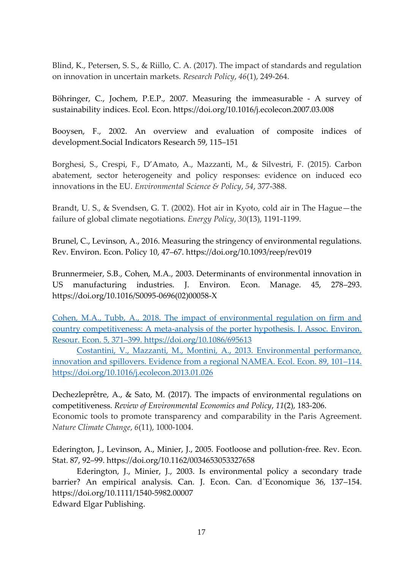Blind, K., Petersen, S. S., & Riillo, C. A. (2017). The impact of standards and regulation on innovation in uncertain markets. *Research Policy*, *46*(1), 249-264.

Böhringer, C., Jochem, P.E.P., 2007. Measuring the immeasurable - A survey of sustainability indices. Ecol. Econ. https://doi.org/10.1016/j.ecolecon.2007.03.008

Booysen, F., 2002. An overview and evaluation of composite indices of development.Social Indicators Research 59, 115–151

Borghesi, S., Crespi, F., D'Amato, A., Mazzanti, M., & Silvestri, F. (2015). Carbon abatement, sector heterogeneity and policy responses: evidence on induced eco innovations in the EU. *Environmental Science & Policy*, *54*, 377-388.

Brandt, U. S., & Svendsen, G. T. (2002). Hot air in Kyoto, cold air in The Hague—the failure of global climate negotiations. *Energy Policy*, *30*(13), 1191-1199.

Brunel, C., Levinson, A., 2016. Measuring the stringency of environmental regulations. Rev. Environ. Econ. Policy 10, 47–67. https://doi.org/10.1093/reep/rev019

Brunnermeier, S.B., Cohen, M.A., 2003. Determinants of environmental innovation in US manufacturing industries. J. Environ. Econ. Manage. 45, 278–293. https://doi.org/10.1016/S0095-0696(02)00058-X

[Cohen, M.A., Tubb, A., 2018. The impact of environmental regulation on firm and](https://doi.org/10.1086/695613)  [country competitiveness: A meta-analysis of the porter hypothesis. J. Assoc. Environ.](https://doi.org/10.1086/695613)  Resour. Econ. 5, 371–[399. https://doi.org/10.1086/695613](https://doi.org/10.1086/695613)

[Costantini, V., Mazzanti, M., Montini, A., 2013. Environmental performance,](https://doi.org/10.1016/j.ecolecon.2013.01.026)  [innovation and spillovers. Evidence from a regional NAMEA. Ecol. Econ. 89, 101](https://doi.org/10.1016/j.ecolecon.2013.01.026)–114. <https://doi.org/10.1016/j.ecolecon.2013.01.026>

Dechezleprêtre, A., & Sato, M. (2017). The impacts of environmental regulations on competitiveness. *Review of Environmental Economics and Policy*, *11*(2), 183-206. Economic tools to promote transparency and comparability in the Paris Agreement. *Nature Climate Change*, *6*(11), 1000-1004.

Ederington, J., Levinson, A., Minier, J., 2005. Footloose and pollution-free. Rev. Econ. Stat. 87, 92–99. https://doi.org/10.1162/0034653053327658

Ederington, J., Minier, J., 2003. Is environmental policy a secondary trade barrier? An empirical analysis. Can. J. Econ. Can. d`Economique 36, 137–154. https://doi.org/10.1111/1540-5982.00007

Edward Elgar Publishing.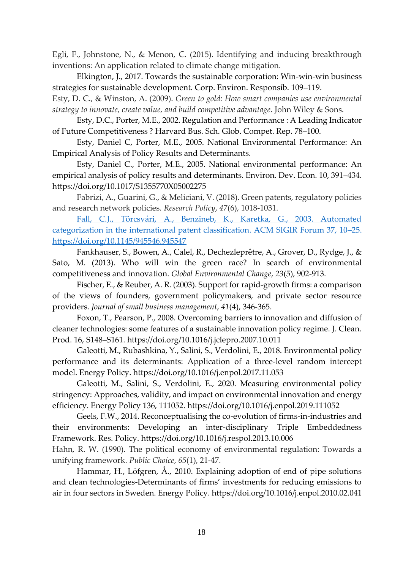Egli, F., Johnstone, N., & Menon, C. (2015). Identifying and inducing breakthrough inventions: An application related to climate change mitigation.

Elkington, J., 2017. Towards the sustainable corporation: Win-win-win business strategies for sustainable development. Corp. Environ. Responsib. 109–119.

Esty, D. C., & Winston, A. (2009). *Green to gold: How smart companies use environmental strategy to innovate, create value, and build competitive advantage*. John Wiley & Sons.

Esty, D.C., Porter, M.E., 2002. Regulation and Performance : A Leading Indicator of Future Competitiveness ? Harvard Bus. Sch. Glob. Compet. Rep. 78–100.

Esty, Daniel C, Porter, M.E., 2005. National Environmental Performance: An Empirical Analysis of Policy Results and Determinants.

Esty, Daniel C., Porter, M.E., 2005. National environmental performance: An empirical analysis of policy results and determinants. Environ. Dev. Econ. 10, 391–434. https://doi.org/10.1017/S1355770X05002275

Fabrizi, A., Guarini, G., & Meliciani, V. (2018). Green patents, regulatory policies and research network policies. *Research Policy*, *47*(6), 1018-1031.

[Fall, C.J., Törcsvári, A., Benzineb, K., Karetka, G., 2003. Automated](https://doi.org/10.1145/945546.945547)  categorization in [the international patent classification. ACM SIGIR Forum 37, 10](https://doi.org/10.1145/945546.945547)–25. <https://doi.org/10.1145/945546.945547>

Fankhauser, S., Bowen, A., Calel, R., Dechezleprêtre, A., Grover, D., Rydge, J., & Sato, M. (2013). Who will win the green race? In search of environmental competitiveness and innovation. *Global Environmental Change*, *23*(5), 902-913.

Fischer, E., & Reuber, A. R. (2003). Support for rapid‐growth firms: a comparison of the views of founders, government policymakers, and private sector resource providers. *Journal of small business management*, *41*(4), 346-365.

Foxon, T., Pearson, P., 2008. Overcoming barriers to innovation and diffusion of cleaner technologies: some features of a sustainable innovation policy regime. J. Clean. Prod. 16, S148–S161. https://doi.org/10.1016/j.jclepro.2007.10.011

Galeotti, M., Rubashkina, Y., Salini, S., Verdolini, E., 2018. Environmental policy performance and its determinants: Application of a three-level random intercept model. Energy Policy. https://doi.org/10.1016/j.enpol.2017.11.053

Galeotti, M., Salini, S., Verdolini, E., 2020. Measuring environmental policy stringency: Approaches, validity, and impact on environmental innovation and energy efficiency. Energy Policy 136, 111052. https://doi.org/10.1016/j.enpol.2019.111052

Geels, F.W., 2014. Reconceptualising the co-evolution of firms-in-industries and their environments: Developing an inter-disciplinary Triple Embeddedness Framework. Res. Policy. https://doi.org/10.1016/j.respol.2013.10.006

Hahn, R. W. (1990). The political economy of environmental regulation: Towards a unifying framework. *Public Choice*, *65*(1), 21-47.

Hammar, H., Löfgren, Å., 2010. Explaining adoption of end of pipe solutions and clean technologies-Determinants of firms' investments for reducing emissions to air in four sectors in Sweden. Energy Policy. https://doi.org/10.1016/j.enpol.2010.02.041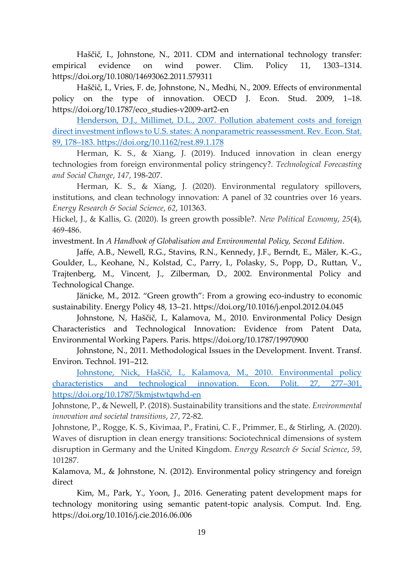Haščič, I., Johnstone, N., 2011. CDM and international technology transfer: empirical evidence on wind power. Clim. Policy 11, 1303–1314. https://doi.org/10.1080/14693062.2011.579311

Haščič, I., Vries, F. de, Johnstone, N., Medhi, N., 2009. Effects of environmental policy on the type of innovation. OECD J. Econ. Stud. 2009, 1–18. https://doi.org/10.1787/eco\_studies-v2009-art2-en

[Henderson, D.J., Millimet, D.L., 2007. Pollution abatement costs and foreign](https://doi.org/10.1162/rest.89.1.178)  direct investment inflows to U.S. states: A nonparametric reassessment. Rev. Econ. Stat. 89, 178–[183. https://doi.org/10.1162/rest.89.1.178](https://doi.org/10.1162/rest.89.1.178)

Herman, K. S., & Xiang, J. (2019). Induced innovation in clean energy technologies from foreign environmental policy stringency?. *Technological Forecasting and Social Change*, *147*, 198-207.

Herman, K. S., & Xiang, J. (2020). Environmental regulatory spillovers, institutions, and clean technology innovation: A panel of 32 countries over 16 years. *Energy Research & Social Science*, *62*, 101363.

Hickel, J., & Kallis, G. (2020). Is green growth possible?. *New Political Economy*, *25*(4), 469-486.

investment. In *A Handbook of Globalisation and Environmental Policy, Second Edition*.

Jaffe, A.B., Newell, R.G., Stavins, R.N., Kennedy, J.F., Berndt, E., Mäler, K.-G., Goulder, L., Keohane, N., Kolstad, C., Parry, I., Polasky, S., Popp, D., Ruttan, V., Trajtenberg, M., Vincent, J., Zilberman, D., 2002. Environmental Policy and Technological Change.

Jänicke, M., 2012. "Green growth": From a growing eco-industry to economic sustainability. Energy Policy 48, 13–21. https://doi.org/10.1016/j.enpol.2012.04.045

Johnstone, N, Haščič, I., Kalamova, M., 2010. Environmental Policy Design Characteristics and Technological Innovation: Evidence from Patent Data, Environmental Working Papers. Paris. https://doi.org/10.1787/19970900

Johnstone, N., 2011. Methodological Issues in the Development. Invent. Transf. Environ. Technol. 191–212.

Johnstone, Nick, Haščič, I., [Kalamova, M., 2010. Environmental policy](https://doi.org/10.1787/5kmjstwtqwhd-en)  [characteristics and technological innovation. Econ. Polit. 27, 277](https://doi.org/10.1787/5kmjstwtqwhd-en)–301. <https://doi.org/10.1787/5kmjstwtqwhd-en>

Johnstone, P., & Newell, P. (2018). Sustainability transitions and the state. *Environmental innovation and societal transitions*, *27*, 72-82.

Johnstone, P., Rogge, K. S., Kivimaa, P., Fratini, C. F., Primmer, E., & Stirling, A. (2020). Waves of disruption in clean energy transitions: Sociotechnical dimensions of system disruption in Germany and the United Kingdom. *Energy Research & Social Science*, *59*, 101287.

Kalamova, M., & Johnstone, N. (2012). Environmental policy stringency and foreign direct

Kim, M., Park, Y., Yoon, J., 2016. Generating patent development maps for technology monitoring using semantic patent-topic analysis. Comput. Ind. Eng. https://doi.org/10.1016/j.cie.2016.06.006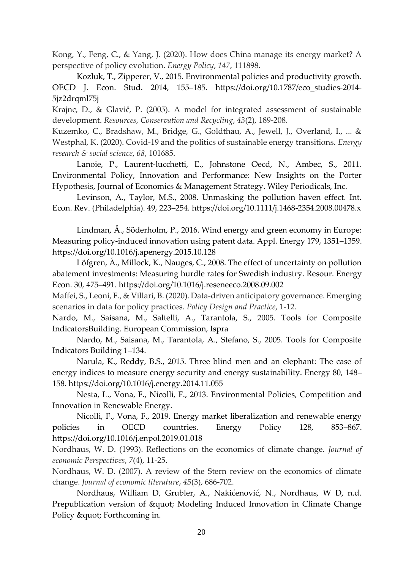Kong, Y., Feng, C., & Yang, J. (2020). How does China manage its energy market? A perspective of policy evolution. *Energy Policy*, *147*, 111898.

Kozluk, T., Zipperer, V., 2015. Environmental policies and productivity growth. OECD J. Econ. Stud. 2014, 155–185. https://doi.org/10.1787/eco\_studies-2014- 5jz2drqml75j

Krajnc, D., & Glavič, P. (2005). A model for integrated assessment of sustainable development. *Resources, Conservation and Recycling*, *43*(2), 189-208.

Kuzemko, C., Bradshaw, M., Bridge, G., Goldthau, A., Jewell, J., Overland, I., ... & Westphal, K. (2020). Covid-19 and the politics of sustainable energy transitions. *Energy research & social science*, *68*, 101685.

Lanoie, P., Laurent-lucchetti, E., Johnstone Oecd, N., Ambec, S., 2011. Environmental Policy, Innovation and Performance: New Insights on the Porter Hypothesis, Journal of Economics & Management Strategy. Wiley Periodicals, Inc.

Levinson, A., Taylor, M.S., 2008. Unmasking the pollution haven effect. Int. Econ. Rev. (Philadelphia). 49, 223–254. https://doi.org/10.1111/j.1468-2354.2008.00478.x

Lindman, Å., Söderholm, P., 2016. Wind energy and green economy in Europe: Measuring policy-induced innovation using patent data. Appl. Energy 179, 1351–1359. https://doi.org/10.1016/j.apenergy.2015.10.128

Löfgren, Å., Millock, K., Nauges, C., 2008. The effect of uncertainty on pollution abatement investments: Measuring hurdle rates for Swedish industry. Resour. Energy Econ. 30, 475–491. https://doi.org/10.1016/j.reseneeco.2008.09.002

Maffei, S., Leoni, F., & Villari, B. (2020). Data-driven anticipatory governance. Emerging scenarios in data for policy practices. *Policy Design and Practice*, 1-12.

Nardo, M., Saisana, M., Saltelli, A., Tarantola, S., 2005. Tools for Composite IndicatorsBuilding. European Commission, Ispra

Nardo, M., Saisana, M., Tarantola, A., Stefano, S., 2005. Tools for Composite Indicators Building 1–134.

Narula, K., Reddy, B.S., 2015. Three blind men and an elephant: The case of energy indices to measure energy security and energy sustainability. Energy 80, 148– 158. https://doi.org/10.1016/j.energy.2014.11.055

Nesta, L., Vona, F., Nicolli, F., 2013. Environmental Policies, Competition and Innovation in Renewable Energy.

Nicolli, F., Vona, F., 2019. Energy market liberalization and renewable energy policies in OECD countries. Energy Policy 128, 853–867. https://doi.org/10.1016/j.enpol.2019.01.018

Nordhaus, W. D. (1993). Reflections on the economics of climate change. *Journal of economic Perspectives*, *7*(4), 11-25.

Nordhaus, W. D. (2007). A review of the Stern review on the economics of climate change. *Journal of economic literature*, *45*(3), 686-702.

Nordhaus, William D, Grubler, A., Nakićenović, N., Nordhaus, W D, n.d. Prepublication version of " Modeling Induced Innovation in Climate Change Policy & quot; Forthcoming in.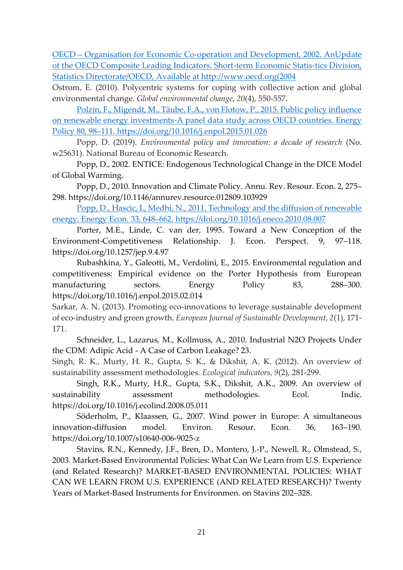OECD – [Organisation for Economic Co-operation and Development, 2002. AnUpdate](http://www.oecd.org/)  [of the OECD Composite Leading Indicators. Short-term Economic Statis-tics Division,](http://www.oecd.org/)  [Statistics Directorate/OECD, Available at http://www.oecd.org\(2004](http://www.oecd.org/)

Ostrom, E. (2010). Polycentric systems for coping with collective action and global environmental change. *Global environmental change*, *20*(4), 550-557.

[Polzin, F., Migendt, M., Täube, F.A., von Flotow, P., 2015. Public policy influence](https://doi.org/10.1016/j.enpol.2015.01.026)  on renewable energy [investments-A panel data study across OECD countries. Energy](https://doi.org/10.1016/j.enpol.2015.01.026)  Policy 80, 98–[111. https://doi.org/10.1016/j.enpol.2015.01.026](https://doi.org/10.1016/j.enpol.2015.01.026)

Popp, D. (2019). *Environmental policy and innovation: a decade of research* (No. w25631). National Bureau of Economic Research.

Popp, D., 2002. ENTICE: Endogenous Technological Change in the DICE Model of Global Warming.

Popp, D., 2010. Innovation and Climate Policy. Annu. Rev. Resour. Econ. 2, 275– 298. https://doi.org/10.1146/annurev.resource.012809.103929

[Popp, D., Hascic, I., Medhi, N., 2011. Technology and the diffusion of renewable](https://doi.org/10.1016/j.eneco.2010.08.007)  energy. Energy Econ. 33, 648–[662. https://doi.org/10.1016/j.eneco.2010.08.007](https://doi.org/10.1016/j.eneco.2010.08.007)

Porter, M.E., Linde, C. van der, 1995. Toward a New Conception of the Environment-Competitiveness Relationship. J. Econ. Perspect. 9, 97–118. https://doi.org/10.1257/jep.9.4.97

Rubashkina, Y., Galeotti, M., Verdolini, E., 2015. Environmental regulation and competitiveness: Empirical evidence on the Porter Hypothesis from European manufacturing sectors. Energy Policy 83, 288–300. https://doi.org/10.1016/j.enpol.2015.02.014

Sarkar, A. N. (2013). Promoting eco-innovations to leverage sustainable development of eco-industry and green growth. *European Journal of Sustainable Development*, *2*(1), 171- 171.

Schneider, L., Lazarus, M., Kollmuss, A., 2010. Industrial N2O Projects Under the CDM: Adipic Acid - A Case of Carbon Leakage? 23.

Singh, R. K., Murty, H. R., Gupta, S. K., & Dikshit, A. K. (2012). An overview of sustainability assessment methodologies. *Ecological indicators*, *9*(2), 281-299.

Singh, R.K., Murty, H.R., Gupta, S.K., Dikshit, A.K., 2009. An overview of sustainability assessment methodologies. Ecol. Indic. https://doi.org/10.1016/j.ecolind.2008.05.011

Söderholm, P., Klaassen, G., 2007. Wind power in Europe: A simultaneous innovation-diffusion model. Environ. Resour. Econ. 36, 163–190. https://doi.org/10.1007/s10640-006-9025-z

Stavins, R.N., Kennedy, J.F., Bren, D., Montero, J.-P., Newell, R., Olmstead, S., 2003. Market-Based Environmental Policies: What Can We Learn from U.S. Experience (and Related Research)? MARKET-BASED ENVIRONMENTAL POLICIES: WHAT CAN WE LEARN FROM U.S. EXPERIENCE (AND RELATED RESEARCH)? Twenty Years of Market-Based Instruments for Environmen. on Stavins 202–328.